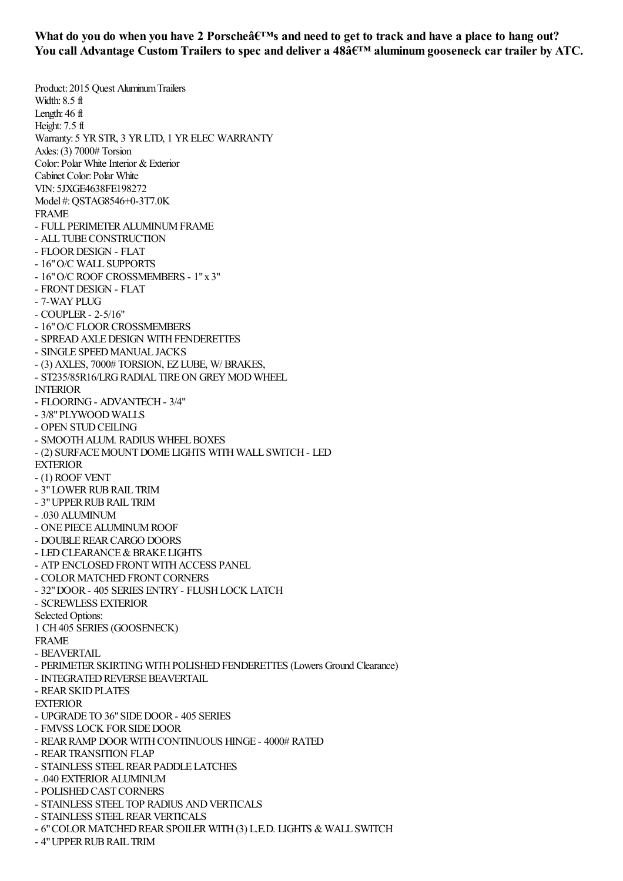What do you do when you have 2 Porsche's and need to get to track and have a place to hang out? **You call Advantage Custom Trailers to spec and deliver a 48' aluminum gooseneck cartrailer by ATC.**

Product: 2015 Quest Aluminum Trailers Width: 8.5 ft Length: 46 ft Height: 7.5 ft Warranty: 5 YR STR, 3 YR LTD, 1 YR ELEC WARRANTY Axles:(3) 7000# Torsion Color: Polar White Interior & Exterior Cabinet Color: Polar White VIN: 5JXGE4638FE198272 Model #:QSTAG8546+0-3T7.0K FRAME - FULL PERIMETERALUMINUMFRAME - ALL TUBE CONSTRUCTION - FLOORDESIGN - FLAT - 16"O/C WALL SUPPORTS - 16"O/C ROOF CROSSMEMBERS - 1"x 3" - FRONTDESIGN - FLAT - 7-WAYPLUG - COUPLER- 2-5/16" - 16" O/C FLOOR CROSSMEMBERS - SPREAD AXLE DESIGN WITH FENDERETTES - SINGLE SPEEDMANUAL JACKS - (3) AXLES, 7000# TORSION, EZ LUBE, W/ BRAKES, - ST235/85R16/LRG RADIAL TIRE ON GREY MOD WHEEL INTERIOR - FLOORING- ADVANTECH- 3/4" - 3/8"PLYWOOD WALLS - OPEN STUD CEILING - SMOOTH ALUM. RADIUS WHEEL BOXES - (2) SURFACE MOUNT DOME LIGHTS WITH WALL SWITCH - LED **EXTERIOR** - (1) ROOF VENT - 3" LOWER RUB RAIL TRIM - 3"UPPERRUBRAIL TRIM - .030 ALUMINUM - ONE PIECE ALUMINUM ROOF - DOUBLEREARCARGO DOORS - LED CLEARANCE & BRAKE LIGHTS - ATP ENCLOSED FRONT WITH ACCESS PANEL - COLOR MATCHED FRONT CORNERS - 32"DOOR- 405 SERIES ENTRY- FLUSHLOCK LATCH - SCREWLESS EXTERIOR Selected Options: 1 CH405 SERIES (GOOSENECK) FRAME - **BEAVERTAIL** - PERIMETER SKIRTING WITH POLISHED FENDERETTES (Lowers Ground Clearance) - INTEGRATED REVERSE BEAVERTAIL - REARSKIDPLATES EXTERIOR - UPGRADE TO 36" SIDE DOOR - 405 SERIES - FMVSS LOCK FORSIDEDOOR - REAR RAMP DOOR WITH CONTINUOUS HINGE - 4000# RATED - REARTRANSITION FLAP - STAINLESS STEELREARPADDLE LATCHES - .040 EXTERIORALUMINUM - POLISHED CAST CORNERS - STAINLESS STEEL TOP RADIUS ANDVERTICALS - STAINLESS STEEL REAR VERTICALS - 6" COLOR MATCHED REAR SPOILER WITH (3) L.E.D. LIGHTS & WALL SWITCH

- 4" UPPER RUB RAIL TRIM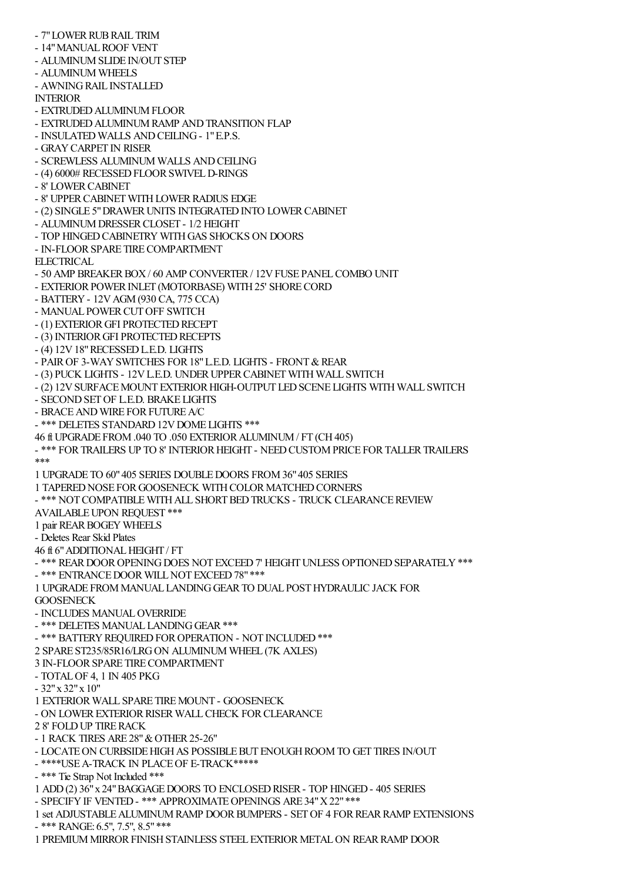- 7" LOWER RUB RAIL TRIM

- 14" MANUAL ROOF VENT
- ALUMINUM SLIDE IN/OUT STEP
- ALUMINUM WHEELS
- AWNINGRAIL INSTALLED

INTERIOR

- EXTRUDEDALUMINUMFLOOR
- EXTRUDED ALUMINUM RAMP AND TRANSITION FLAP
- INSULATED WALLS ANDCEILING- 1"E.P.S.
- GRAYCARPET IN RISER
- SCREWLESS ALUMINUM WALLS ANDCEILING
- (4) 6000# RECESSED FLOOR SWIVEL D-RINGS
- 8' LOWERCABINET
- 8' UPPER CABINET WITH LOWER RADIUS EDGE
- (2) SINGLE 5" DRAWER UNITS INTEGRATED INTO LOWER CABINET
- ALUMINUM DRESSER CLOSET 1/2 HEIGHT
- TOP HINGEDCABINETRY WITHGAS SHOCKS ON DOORS
- IN-FLOORSPARE TIRECOMPARTMENT
- **ELECTRICAL**
- 50 AMP BREAKER BOX / 60 AMP CONVERTER / 12V FUSE PANEL COMBO UNIT
- EXTERIOR POWER INLET (MOTORBASE) WITH 25' SHORE CORD
- BATTERY- 12VAGM(930 CA, 775 CCA)
- MANUAL POWER CUT OFF SWITCH
- (1) EXTERIOR GFI PROTECTED RECEPT
- (3) INTERIOR GFI PROTECTED RECEPTS
- (4) 12V18"RECESSEDL.E.D. LIGHTS
- PAIR OF 3-WAY SWITCHES FOR 18" L.E.D. LIGHTS FRONT & REAR
- (3) PUCK LIGHTS 12V L.E.D. UNDER UPPER CABINET WITH WALL SWITCH
- (2) 12V SURFACE MOUNT EXTERIOR HIGH-OUTPUT LED SCENE LIGHTS WITH WALL SWITCH
- SECONDSETOF L.E.D. BRAKE LIGHTS
- BRACE AND WIRE FOR FUTURE A/C
- \*\*\* DELETES STANDARD 12V DOME LIGHTS \*\*\*
- 46 ft UPGRADE FROM.040 TO .050 EXTERIORALUMINUM/ FT (CH405)
- \*\*\* FORTRAILERS UP TO 8' INTERIORHEIGHT NEEDCUSTOMPRICE FORTALLERTRAILERS \*\*\*
- 1 UPGRADE TO 60"405 SERIES DOUBLEDOORS FROM36"405 SERIES
- 1 TAPERED NOSE FOR GOOSENECK WITH COLOR MATCHED CORNERS
- \*\*\* NOT COMPATIBLE WITH ALL SHORT BED TRUCKS TRUCK CLEARANCE REVIEW
- AVAILABLE UPON REQUEST \*\*\*
- 1 pair REARBOGEY WHEELS
- Deletes Rear Skid Plates
- 46 ft 6"ADDITIONALHEIGHT / FT
- \*\*\* REAR DOOR OPENING DOES NOT EXCEED 7' HEIGHT UNLESS OPTIONED SEPARATELY \*\*\*
- \*\*\* ENTRANCE DOOR WILL NOT EXCEED 78" \*\*\*
- 1 UPGRADE FROMMANUAL LANDINGGEARTO DUAL POSTHYDRAULIC JACK FOR **GOOSENECK**
- INCLUDES MANUALOVERRIDE
- \*\*\* DELETES MANUAL LANDING GEAR \*\*\*
- \*\*\* BATTERY REQUIRED FOR OPERATION NOT INCLUDED \*\*\*
- 2 SPARE ST235/85R16/LRGON ALUMINUM WHEEL (7K AXLES)
- 3 IN-FLOORSPARE TIRECOMPARTMENT
- TOTALOF 4, 1 IN 405 PKG
- 32"x 32"x 10"
- 1 EXTERIORWALL SPARE TIREMOUNT GOOSENECK
- ON LOWER EXTERIOR RISER WALL CHECK FOR CLEARANCE
- 2 8' FOLDUP TIRERACK
- 1 RACK TIRES ARE 28" & OTHER 25-26"
- LOCATE ON CURBSIDE HIGH AS POSSIBLE BUT ENOUGH ROOM TO GET TIRES IN/OUT
- \*\*\*\*USEA-TRACK IN PLACEOF E-TRACK\*\*\*\*\*
- \*\*\* Tie Strap Not Included \*\*\*
- 1 ADD(2) 36"x 24"BAGGAGEDOORS TO ENCLOSEDRISER- TOP HINGED- 405 SERIES
- SPECIFY IF VENTED \*\*\* APPROXIMATE OPENINGS ARE 34" X 22" \*\*\*
- 1 set ADJUSTABLEALUMINUMRAMP DOORBUMPERS SETOF 4 FORREARRAMP EXTENSIONS - \*\*\* RANGE: 6.5", 7.5", 8.5"\*\*\*
- 1 PREMIUM MIRROR FINISH STAINLESS STEEL EXTERIOR METAL ON REAR RAMP DOOR